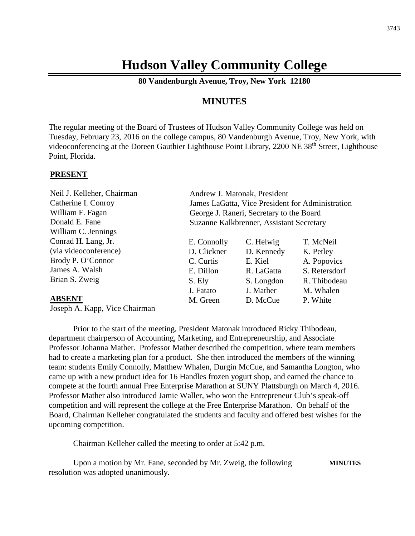# **Hudson Valley Community College**

**80 Vandenburgh Avenue, Troy, New York 12180**

# **MINUTES**

The regular meeting of the Board of Trustees of Hudson Valley Community College was held on Tuesday, February 23, 2016 on the college campus, 80 Vandenburgh Avenue, Troy, New York, with videoconferencing at the Doreen Gauthier Lighthouse Point Library, 2200 NE 38<sup>th</sup> Street, Lighthouse Point, Florida.

#### **PRESENT**

upcoming competition.

| Neil J. Kelleher, Chairman    |             | Andrew J. Matonak, President                     |               |  |
|-------------------------------|-------------|--------------------------------------------------|---------------|--|
| Catherine I. Conroy           |             | James LaGatta, Vice President for Administration |               |  |
| William F. Fagan              |             | George J. Raneri, Secretary to the Board         |               |  |
| Donald E. Fane                |             | Suzanne Kalkbrenner, Assistant Secretary         |               |  |
| William C. Jennings           |             |                                                  |               |  |
| Conrad H. Lang, Jr.           | E. Connolly | C. Helwig                                        | T. McNeil     |  |
| (via videoconference)         | D. Clickner | D. Kennedy                                       | K. Petley     |  |
| Brody P. O'Connor             | C. Curtis   | E. Kiel                                          | A. Popovics   |  |
| James A. Walsh                | E. Dillon   | R. LaGatta                                       | S. Retersdorf |  |
| Brian S. Zweig                | S. Ely      | S. Longdon                                       | R. Thibodeau  |  |
|                               | J. Fatato   | J. Mather                                        | M. Whalen     |  |
| <b>ABSENT</b>                 | M. Green    | D. McCue                                         | P. White      |  |
| Joseph A. Kapp, Vice Chairman |             |                                                  |               |  |

Prior to the start of the meeting, President Matonak introduced Ricky Thibodeau, department chairperson of Accounting, Marketing, and Entrepreneurship, and Associate Professor Johanna Mather. Professor Mather described the competition, where team members had to create a marketing plan for a product. She then introduced the members of the winning team: students Emily Connolly, Matthew Whalen, Durgin McCue, and Samantha Longton, who came up with a new product idea for 16 Handles frozen yogurt shop, and earned the chance to compete at the fourth annual Free Enterprise Marathon at SUNY Plattsburgh on March 4, 2016. Professor Mather also introduced Jamie Waller, who won the Entrepreneur Club's speak-off competition and will represent the college at the Free Enterprise Marathon. On behalf of the Board, Chairman Kelleher congratulated the students and faculty and offered best wishes for the

Chairman Kelleher called the meeting to order at 5:42 p.m.

Upon a motion by Mr. Fane, seconded by Mr. Zweig, the following **MINUTES** resolution was adopted unanimously.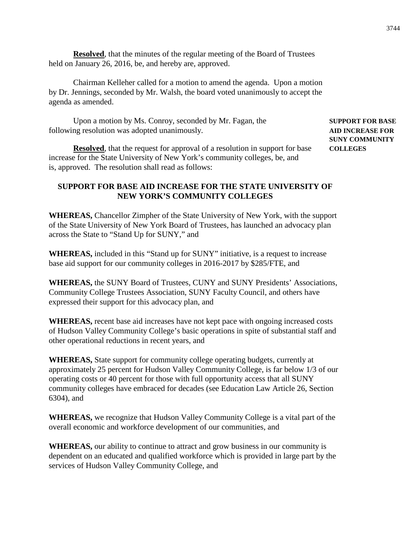**Resolved**, that the minutes of the regular meeting of the Board of Trustees held on January 26, 2016, be, and hereby are, approved.

Chairman Kelleher called for a motion to amend the agenda. Upon a motion by Dr. Jennings, seconded by Mr. Walsh, the board voted unanimously to accept the agenda as amended.

Upon a motion by Ms. Conroy, seconded by Mr. Fagan, the **SUPPORT FOR BASE** following resolution was adopted unanimously. **AID INCREASE FOR**

**Resolved**, that the request for approval of a resolution in support for base **COLLEGES** increase for the State University of New York's community colleges, be, and is, approved. The resolution shall read as follows:

**SUNY COMMUNITY**

## **SUPPORT FOR BASE AID INCREASE FOR THE STATE UNIVERSITY OF NEW YORK'S COMMUNITY COLLEGES**

**WHEREAS,** Chancellor Zimpher of the State University of New York, with the support of the State University of New York Board of Trustees, has launched an advocacy plan across the State to "Stand Up for SUNY," and

**WHEREAS,** included in this "Stand up for SUNY" initiative, is a request to increase base aid support for our community colleges in 2016-2017 by \$285/FTE, and

**WHEREAS,** the SUNY Board of Trustees, CUNY and SUNY Presidents' Associations, Community College Trustees Association, SUNY Faculty Council, and others have expressed their support for this advocacy plan, and

**WHEREAS,** recent base aid increases have not kept pace with ongoing increased costs of Hudson Valley Community College's basic operations in spite of substantial staff and other operational reductions in recent years, and

**WHEREAS,** State support for community college operating budgets, currently at approximately 25 percent for Hudson Valley Community College, is far below 1/3 of our operating costs or 40 percent for those with full opportunity access that all SUNY community colleges have embraced for decades (see Education Law Article 26, Section 6304), and

**WHEREAS,** we recognize that Hudson Valley Community College is a vital part of the overall economic and workforce development of our communities, and

**WHEREAS,** our ability to continue to attract and grow business in our community is dependent on an educated and qualified workforce which is provided in large part by the services of Hudson Valley Community College, and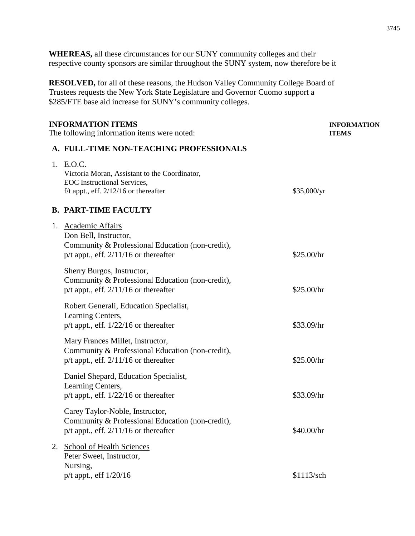**WHEREAS,** all these circumstances for our SUNY community colleges and their respective county sponsors are similar throughout the SUNY system, now therefore be it

**RESOLVED,** for all of these reasons, the Hudson Valley Community College Board of Trustees requests the New York State Legislature and Governor Cuomo support a \$285/FTE base aid increase for SUNY's community colleges.

| <b>INFORMATION ITEMS</b><br>The following information items were noted: |                                                                                                                                                   |             | <b>INFORMATION</b><br><b>ITEMS</b> |
|-------------------------------------------------------------------------|---------------------------------------------------------------------------------------------------------------------------------------------------|-------------|------------------------------------|
|                                                                         | A. FULL-TIME NON-TEACHING PROFESSIONALS                                                                                                           |             |                                    |
|                                                                         | 1. E.O.C.<br>Victoria Moran, Assistant to the Coordinator,<br>EOC Instructional Services,<br>f/t appt., eff. $2/12/16$ or thereafter              | \$35,000/yr |                                    |
|                                                                         | <b>B. PART-TIME FACULTY</b>                                                                                                                       |             |                                    |
| 1.                                                                      | <b>Academic Affairs</b><br>Don Bell, Instructor,<br>Community & Professional Education (non-credit),<br>$p/t$ appt., eff. $2/11/16$ or thereafter | \$25.00/hr  |                                    |
|                                                                         | Sherry Burgos, Instructor,<br>Community & Professional Education (non-credit),<br>$p/t$ appt., eff. $2/11/16$ or thereafter                       | \$25.00/hr  |                                    |
|                                                                         | Robert Generali, Education Specialist,<br>Learning Centers,<br>$p/t$ appt., eff. $1/22/16$ or thereafter                                          | \$33.09/hr  |                                    |
|                                                                         | Mary Frances Millet, Instructor,<br>Community & Professional Education (non-credit),<br>$p/t$ appt., eff. $2/11/16$ or thereafter                 | \$25.00/hr  |                                    |
|                                                                         | Daniel Shepard, Education Specialist,<br>Learning Centers,<br>$p/t$ appt., eff. $1/22/16$ or thereafter                                           | \$33.09/hr  |                                    |
|                                                                         | Carey Taylor-Noble, Instructor,<br>Community & Professional Education (non-credit),<br>$p/t$ appt., eff. $2/11/16$ or thereafter                  | \$40.00/hr  |                                    |
| 2.                                                                      | <b>School of Health Sciences</b><br>Peter Sweet, Instructor,<br>Nursing,<br>p/t appt., eff 1/20/16                                                | \$1113/sch  |                                    |
|                                                                         |                                                                                                                                                   |             |                                    |